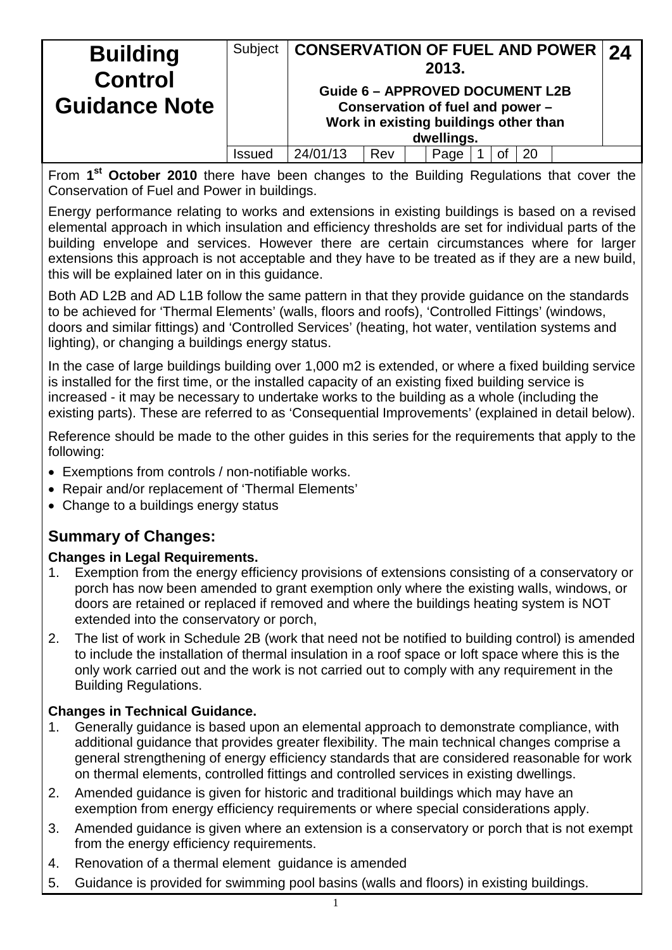| <b>Building</b>                        | Subject | <b>CONSERVATION OF FUEL AND POWER</b>  |  |  | 2013.                                                                     |  |  |  |  | $\overline{24}$ |  |
|----------------------------------------|---------|----------------------------------------|--|--|---------------------------------------------------------------------------|--|--|--|--|-----------------|--|
| <b>Control</b><br><b>Guidance Note</b> |         | <b>Guide 6 - APPROVED DOCUMENT L2B</b> |  |  | Conservation of fuel and power -<br>Work in existing buildings other than |  |  |  |  |                 |  |
|                                        |         | dwellings.                             |  |  |                                                                           |  |  |  |  |                 |  |
|                                        | Issued  | 24/01/13<br>Rev<br>20<br>Page          |  |  |                                                                           |  |  |  |  |                 |  |

From **1st October 2010** there have been changes to the Building Regulations that cover the Conservation of Fuel and Power in buildings.

Energy performance relating to works and extensions in existing buildings is based on a revised elemental approach in which insulation and efficiency thresholds are set for individual parts of the building envelope and services. However there are certain circumstances where for larger extensions this approach is not acceptable and they have to be treated as if they are a new build, this will be explained later on in this guidance.

Both AD L2B and AD L1B follow the same pattern in that they provide guidance on the standards to be achieved for 'Thermal Elements' (walls, floors and roofs), 'Controlled Fittings' (windows, doors and similar fittings) and 'Controlled Services' (heating, hot water, ventilation systems and lighting), or changing a buildings energy status.

In the case of large buildings building over 1,000 m2 is extended, or where a fixed building service is installed for the first time, or the installed capacity of an existing fixed building service is increased - it may be necessary to undertake works to the building as a whole (including the existing parts). These are referred to as 'Consequential Improvements' (explained in detail below).

Reference should be made to the other guides in this series for the requirements that apply to the following:

- Exemptions from controls / non-notifiable works.
- Repair and/or replacement of 'Thermal Elements'
- Change to a buildings energy status

## **Summary of Changes:**

#### **Changes in Legal Requirements.**

- 1. Exemption from the energy efficiency provisions of extensions consisting of a conservatory or porch has now been amended to grant exemption only where the existing walls, windows, or doors are retained or replaced if removed and where the buildings heating system is NOT extended into the conservatory or porch,
- 2. The list of work in Schedule 2B (work that need not be notified to building control) is amended to include the installation of thermal insulation in a roof space or loft space where this is the only work carried out and the work is not carried out to comply with any requirement in the Building Regulations.

#### **Changes in Technical Guidance.**

- 1. Generally guidance is based upon an elemental approach to demonstrate compliance, with additional guidance that provides greater flexibility. The main technical changes comprise a general strengthening of energy efficiency standards that are considered reasonable for work on thermal elements, controlled fittings and controlled services in existing dwellings.
- 2. Amended guidance is given for historic and traditional buildings which may have an exemption from energy efficiency requirements or where special considerations apply.
- 3. Amended guidance is given where an extension is a conservatory or porch that is not exempt from the energy efficiency requirements.
- 4. Renovation of a thermal element guidance is amended
- 5. Guidance is provided for swimming pool basins (walls and floors) in existing buildings.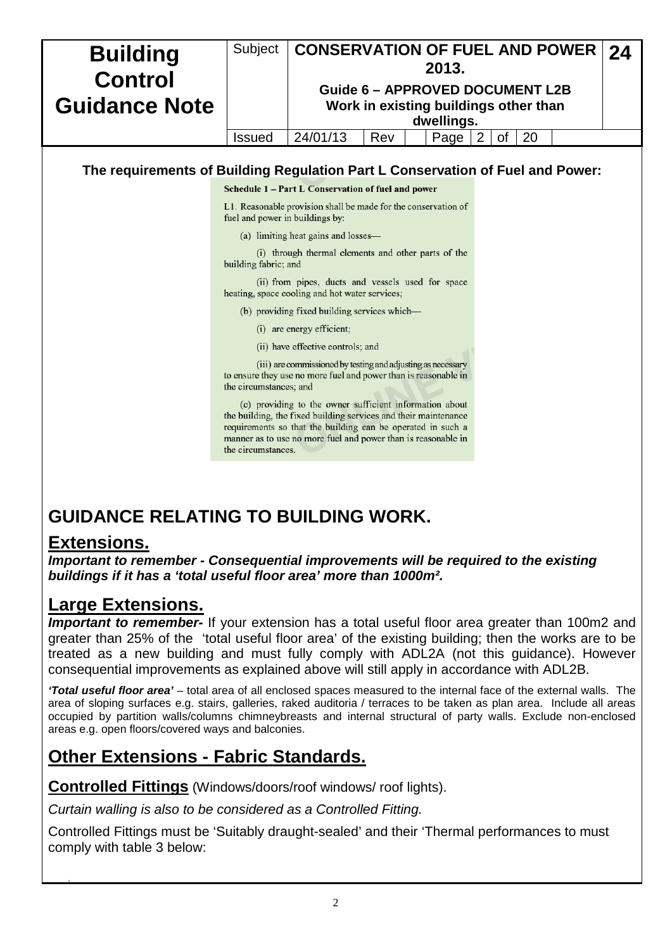| <b>Building</b>      | Subject                         | <b>CONSERVATION OF FUEL AND POWER</b><br>24                                                                                                                                                                                                                |  |  |  |  |  |  |  |  |  |
|----------------------|---------------------------------|------------------------------------------------------------------------------------------------------------------------------------------------------------------------------------------------------------------------------------------------------------|--|--|--|--|--|--|--|--|--|
| <b>Control</b>       |                                 | 2013.                                                                                                                                                                                                                                                      |  |  |  |  |  |  |  |  |  |
|                      |                                 | <b>Guide 6 - APPROVED DOCUMENT L2B</b>                                                                                                                                                                                                                     |  |  |  |  |  |  |  |  |  |
| <b>Guidance Note</b> |                                 | Work in existing buildings other than                                                                                                                                                                                                                      |  |  |  |  |  |  |  |  |  |
|                      |                                 | dwellings.                                                                                                                                                                                                                                                 |  |  |  |  |  |  |  |  |  |
|                      | <b>Issued</b>                   | 24/01/13<br>20<br>Page<br>Rev<br>of                                                                                                                                                                                                                        |  |  |  |  |  |  |  |  |  |
|                      |                                 |                                                                                                                                                                                                                                                            |  |  |  |  |  |  |  |  |  |
|                      |                                 | The requirements of Building Regulation Part L Conservation of Fuel and Power:                                                                                                                                                                             |  |  |  |  |  |  |  |  |  |
|                      |                                 | Schedule 1 – Part L Conservation of fuel and power                                                                                                                                                                                                         |  |  |  |  |  |  |  |  |  |
|                      | fuel and power in buildings by: | L1. Reasonable provision shall be made for the conservation of                                                                                                                                                                                             |  |  |  |  |  |  |  |  |  |
|                      |                                 | (a) limiting heat gains and losses—                                                                                                                                                                                                                        |  |  |  |  |  |  |  |  |  |
|                      |                                 | (i) through thermal elements and other parts of the                                                                                                                                                                                                        |  |  |  |  |  |  |  |  |  |
|                      | building fabric; and            |                                                                                                                                                                                                                                                            |  |  |  |  |  |  |  |  |  |
|                      |                                 | (ii) from pipes, ducts and vessels used for space<br>heating, space cooling and hot water services;                                                                                                                                                        |  |  |  |  |  |  |  |  |  |
|                      |                                 | (b) providing fixed building services which—                                                                                                                                                                                                               |  |  |  |  |  |  |  |  |  |
|                      |                                 | $(i)$ are energy efficient;                                                                                                                                                                                                                                |  |  |  |  |  |  |  |  |  |
|                      |                                 | (ii) have effective controls; and                                                                                                                                                                                                                          |  |  |  |  |  |  |  |  |  |
|                      | the circumstances; and          | (iii) are commissioned by testing and adjusting as necessary<br>to ensure they use no more fuel and power than is reasonable in                                                                                                                            |  |  |  |  |  |  |  |  |  |
|                      | the circumstances.              | (c) providing to the owner sufficient information about<br>the building, the fixed building services and their maintenance<br>requirements so that the building can be operated in such a<br>manner as to use no more fuel and power than is reasonable in |  |  |  |  |  |  |  |  |  |
|                      |                                 |                                                                                                                                                                                                                                                            |  |  |  |  |  |  |  |  |  |

# **GUIDANCE RELATING TO BUILDING WORK.**

## **Extensions.**

*Important to remember - Consequential improvements will be required to the existing buildings if it has a 'total useful floor area' more than 1000m².* 

# **Large Extensions.**

**Important to remember-** If your extension has a total useful floor area greater than 100m2 and greater than 25% of the 'total useful floor area' of the existing building; then the works are to be treated as a new building and must fully comply with ADL2A (not this guidance). However consequential improvements as explained above will still apply in accordance with ADL2B.

*'Total useful floor area'* – total area of all enclosed spaces measured to the internal face of the external walls. The area of sloping surfaces e.g. stairs, galleries, raked auditoria / terraces to be taken as plan area. Include all areas occupied by partition walls/columns chimneybreasts and internal structural of party walls. Exclude non-enclosed areas e.g. open floors/covered ways and balconies.

# **Other Extensions - Fabric Standards.**

**Controlled Fittings** (Windows/doors/roof windows/ roof lights).

*Curtain walling is also to be considered as a Controlled Fitting.*

Controlled Fittings must be 'Suitably draught-sealed' and their 'Thermal performances to must comply with table 3 below: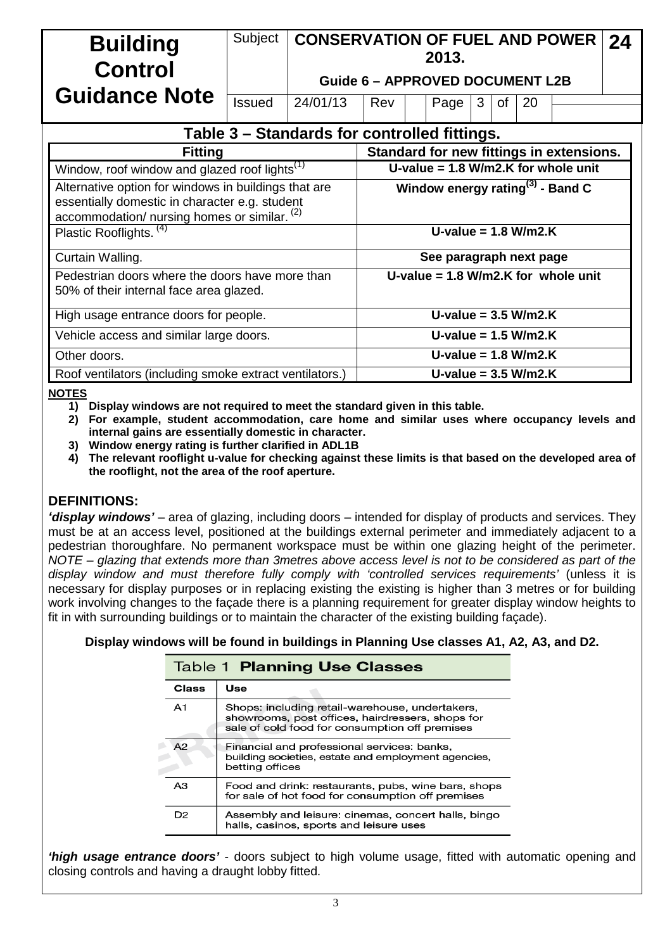| <b>Building</b><br>Control<br><b>Guidance Note</b>                                                                                                     | Subject                                                                                    | <b>CONSERVATION OF FUEL AND POWER</b><br>2013.<br><b>Guide 6 - APPROVED DOCUMENT L2B</b> |                                              |                        |                                       |                        |    |    |                                          |  |  |  |  |
|--------------------------------------------------------------------------------------------------------------------------------------------------------|--------------------------------------------------------------------------------------------|------------------------------------------------------------------------------------------|----------------------------------------------|------------------------|---------------------------------------|------------------------|----|----|------------------------------------------|--|--|--|--|
|                                                                                                                                                        | <b>Issued</b>                                                                              | 24/01/13                                                                                 | Rev                                          |                        | Page                                  | 3                      | of | 20 |                                          |  |  |  |  |
| Table 3 – Standards for controlled fittings.                                                                                                           |                                                                                            |                                                                                          |                                              |                        |                                       |                        |    |    |                                          |  |  |  |  |
| <b>Fitting</b>                                                                                                                                         |                                                                                            |                                                                                          |                                              |                        |                                       |                        |    |    | Standard for new fittings in extensions. |  |  |  |  |
| Window, roof window and glazed roof lights <sup>(1)</sup>                                                                                              |                                                                                            |                                                                                          |                                              |                        |                                       |                        |    |    | U-value = $1.8$ W/m2.K for whole unit    |  |  |  |  |
| Alternative option for windows in buildings that are<br>essentially domestic in character e.g. student<br>accommodation/ nursing homes or similar. (2) |                                                                                            |                                                                                          | Window energy rating <sup>(3)</sup> - Band C |                        |                                       |                        |    |    |                                          |  |  |  |  |
| Plastic Rooflights. <sup>(4)</sup>                                                                                                                     |                                                                                            |                                                                                          |                                              |                        | U-value = $1.8$ W/m2.K                |                        |    |    |                                          |  |  |  |  |
| Curtain Walling.                                                                                                                                       |                                                                                            |                                                                                          | See paragraph next page                      |                        |                                       |                        |    |    |                                          |  |  |  |  |
|                                                                                                                                                        | Pedestrian doors where the doors have more than<br>50% of their internal face area glazed. |                                                                                          |                                              |                        | U-value = $1.8$ W/m2.K for whole unit |                        |    |    |                                          |  |  |  |  |
| High usage entrance doors for people.                                                                                                                  |                                                                                            |                                                                                          |                                              | U-value = $3.5$ W/m2.K |                                       |                        |    |    |                                          |  |  |  |  |
| Vehicle access and similar large doors.                                                                                                                |                                                                                            |                                                                                          |                                              |                        | U-value = $1.5$ W/m2.K                |                        |    |    |                                          |  |  |  |  |
| Other doors.                                                                                                                                           |                                                                                            |                                                                                          |                                              |                        |                                       | U-value = $1.8$ W/m2.K |    |    |                                          |  |  |  |  |
| Roof ventilators (including smoke extract ventilators.)                                                                                                |                                                                                            |                                                                                          |                                              |                        | U-value = $3.5$ W/m2.K                |                        |    |    |                                          |  |  |  |  |

#### **NOTES**

**1) Display windows are not required to meet the standard given in this table.**

**2) For example, student accommodation, care home and similar uses where occupancy levels and internal gains are essentially domestic in character.**

**3) Window energy rating is further clarified in ADL1B**

**4) The relevant rooflight u-value for checking against these limits is that based on the developed area of the rooflight, not the area of the roof aperture.**

#### **DEFINITIONS:**

*'display windows'* – area of glazing, including doors – intended for display of products and services. They must be at an access level, positioned at the buildings external perimeter and immediately adjacent to a pedestrian thoroughfare. No permanent workspace must be within one glazing height of the perimeter. *NOTE – glazing that extends more than 3metres above access level is not to be considered as part of the display window and must therefore fully comply with 'controlled services requirements'* (unless it is necessary for display purposes or in replacing existing the existing is higher than 3 metres or for building work involving changes to the façade there is a planning requirement for greater display window heights to fit in with surrounding buildings or to maintain the character of the existing building façade).

**Display windows will be found in buildings in Planning Use classes A1, A2, A3, and D2.**

|                | <b>Table 1 Planning Use Classes</b>                                                                                                                   |
|----------------|-------------------------------------------------------------------------------------------------------------------------------------------------------|
| <b>Class</b>   | Use                                                                                                                                                   |
| A <sub>1</sub> | Shops: including retail-warehouse, undertakers,<br>showrooms, post offices, hairdressers, shops for<br>sale of cold food for consumption off premises |
| A2             | Financial and professional services: banks,<br>building societies, estate and employment agencies,<br>betting offices                                 |
| A3             | Food and drink: restaurants, pubs, wine bars, shops<br>for sale of hot food for consumption off premises                                              |
| D <sub>2</sub> | Assembly and leisure: cinemas, concert halls, bingo<br>halls, casinos, sports and leisure uses                                                        |

*'high usage entrance doors'* - doors subject to high volume usage, fitted with automatic opening and closing controls and having a draught lobby fitted.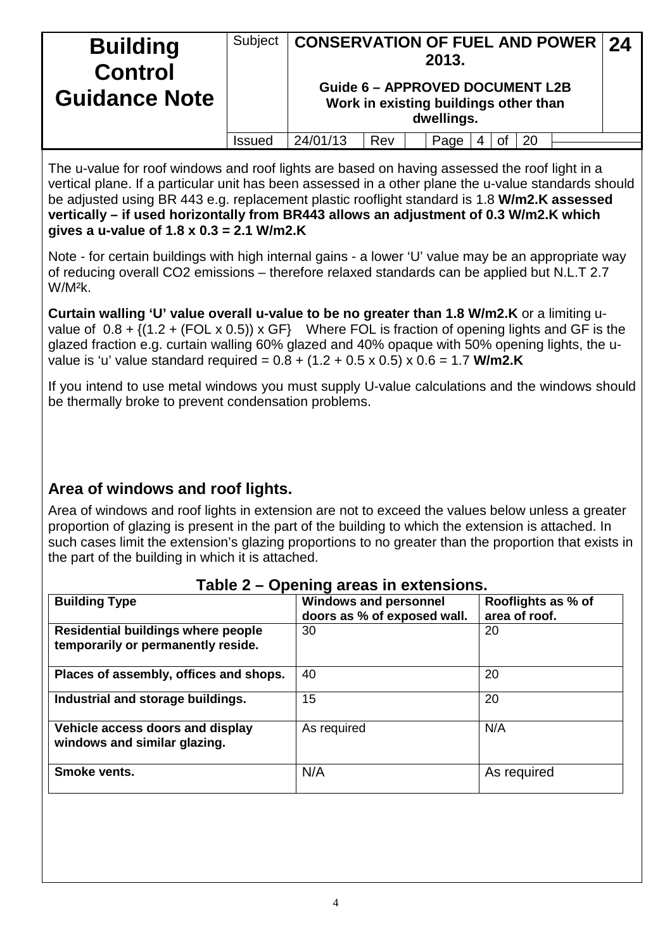| <b>Building</b><br><b>Control</b><br><b>Guidance Note</b> | Subject | <b>CONSERVATION OF FUEL AND POWER 24</b><br><b>Guide 6 - APPROVED DOCUMENT L2B</b> |  |  | 2013.<br>Work in existing buildings other than<br>dwellings. |  |  |  |  |  |
|-----------------------------------------------------------|---------|------------------------------------------------------------------------------------|--|--|--------------------------------------------------------------|--|--|--|--|--|
|                                                           | Issued  | 24/01/13<br>Rev<br>20<br>Page<br>οf                                                |  |  |                                                              |  |  |  |  |  |

The u-value for roof windows and roof lights are based on having assessed the roof light in a vertical plane. If a particular unit has been assessed in a other plane the u-value standards should be adjusted using BR 443 e.g. replacement plastic rooflight standard is 1.8 **W/m2.K assessed vertically – if used horizontally from BR443 allows an adjustment of 0.3 W/m2.K which gives a u-value of 1.8 x 0.3 = 2.1 W/m2.K**

Note - for certain buildings with high internal gains - a lower 'U' value may be an appropriate way of reducing overall CO2 emissions – therefore relaxed standards can be applied but N.L.T 2.7 W/M²k.

**Curtain walling 'U' value overall u-value to be no greater than 1.8 W/m2.K** or a limiting uvalue of  $0.8 + \sqrt{(1.2 + (FOL \times 0.5))} \times GF$  Where FOL is fraction of opening lights and GF is the glazed fraction e.g. curtain walling 60% glazed and 40% opaque with 50% opening lights, the uvalue is 'u' value standard required = 0.8 + (1.2 + 0.5 x 0.5) x 0.6 = 1.7 **W/m2.K**

If you intend to use metal windows you must supply U-value calculations and the windows should be thermally broke to prevent condensation problems.

## **Area of windows and roof lights.**

Area of windows and roof lights in extension are not to exceed the values below unless a greater proportion of glazing is present in the part of the building to which the extension is attached. In such cases limit the extension's glazing proportions to no greater than the proportion that exists in the part of the building in which it is attached.

| <b>Building Type</b>                                                            | <b>Windows and personnel</b><br>doors as % of exposed wall. | Rooflights as % of<br>area of roof. |
|---------------------------------------------------------------------------------|-------------------------------------------------------------|-------------------------------------|
| <b>Residential buildings where people</b><br>temporarily or permanently reside. | 30                                                          | 20                                  |
| Places of assembly, offices and shops.                                          | 40                                                          | 20                                  |
| Industrial and storage buildings.                                               | 15                                                          | 20                                  |
| Vehicle access doors and display<br>windows and similar glazing.                | As required                                                 | N/A                                 |
| Smoke vents.                                                                    | N/A                                                         | As required                         |

#### **Table 2 – Opening areas in extensions.**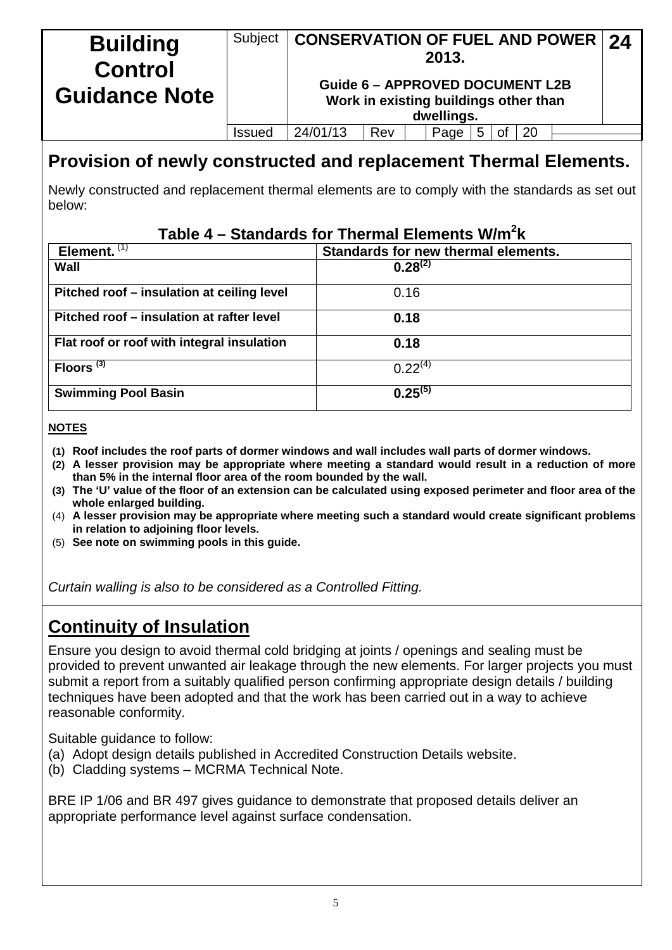| <b>Building</b><br><b>Control</b> | Subject | <b>CONSERVATION OF FUEL AND POWER 24</b> |                                                                                 | 2013.      |    |    |  |
|-----------------------------------|---------|------------------------------------------|---------------------------------------------------------------------------------|------------|----|----|--|
| <b>Guidance Note</b>              |         |                                          | <b>Guide 6 - APPROVED DOCUMENT L2B</b><br>Work in existing buildings other than | dwellings. |    |    |  |
|                                   | Issued  | 24/01/13                                 | Rev                                                                             | Page       | Οt | 20 |  |

# **Provision of newly constructed and replacement Thermal Elements.**

Newly constructed and replacement thermal elements are to comply with the standards as set out below:

## **Table 4 – Standards for Thermal Elements W/m2 k**

| Element. $(1)$                             | Standards for new thermal elements. |
|--------------------------------------------|-------------------------------------|
| Wall                                       | $0.28^{(2)}$                        |
| Pitched roof – insulation at ceiling level | 0.16                                |
| Pitched roof – insulation at rafter level  | 0.18                                |
| Flat roof or roof with integral insulation | 0.18                                |
| Floors <sup>(3)</sup>                      | $0.22^{(4)}$                        |
| <b>Swimming Pool Basin</b>                 | $0.25^{(5)}$                        |

#### **NOTES**

- **(1) Roof includes the roof parts of dormer windows and wall includes wall parts of dormer windows.**
- **(2) A lesser provision may be appropriate where meeting a standard would result in a reduction of more than 5% in the internal floor area of the room bounded by the wall.**
- **(3) The 'U' value of the floor of an extension can be calculated using exposed perimeter and floor area of the whole enlarged building.**
- (4) **A lesser provision may be appropriate where meeting such a standard would create significant problems in relation to adjoining floor levels.**
- (5) **See note on swimming pools in this guide.**

*Curtain walling is also to be considered as a Controlled Fitting.*

# **Continuity of Insulation**

Ensure you design to avoid thermal cold bridging at joints / openings and sealing must be provided to prevent unwanted air leakage through the new elements. For larger projects you must submit a report from a suitably qualified person confirming appropriate design details / building techniques have been adopted and that the work has been carried out in a way to achieve reasonable conformity.

Suitable guidance to follow:

- (a) Adopt design details published in Accredited Construction Details website.
- (b) Cladding systems MCRMA Technical Note.

BRE IP 1/06 and BR 497 gives guidance to demonstrate that proposed details deliver an appropriate performance level against surface condensation.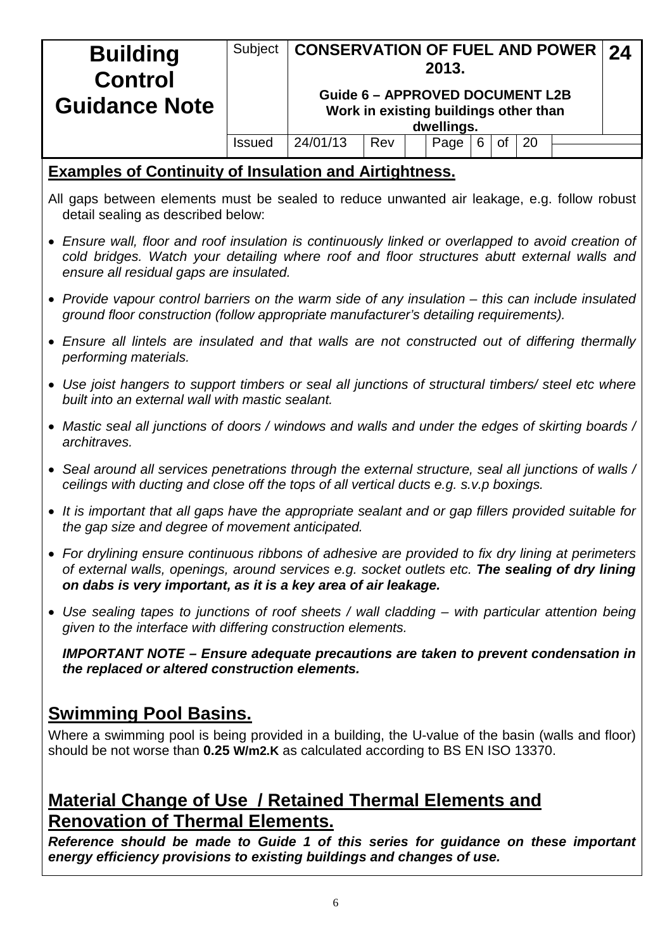| <b>Building</b>                                                                                                                                                                                                                                                         | Subject                      | <b>CONSERVATION OF FUEL AND POWER</b>  |                                       |  | 2013.              |   |    |    |  | 24 |  |  |
|-------------------------------------------------------------------------------------------------------------------------------------------------------------------------------------------------------------------------------------------------------------------------|------------------------------|----------------------------------------|---------------------------------------|--|--------------------|---|----|----|--|----|--|--|
| <b>Control</b>                                                                                                                                                                                                                                                          |                              | <b>Guide 6 - APPROVED DOCUMENT L2B</b> |                                       |  |                    |   |    |    |  |    |  |  |
| <b>Guidance Note</b>                                                                                                                                                                                                                                                    |                              |                                        | Work in existing buildings other than |  |                    |   |    |    |  |    |  |  |
|                                                                                                                                                                                                                                                                         | <b>Issued</b>                | 24/01/13                               | Rev                                   |  | dwellings.<br>Page | 6 | 0f | 20 |  |    |  |  |
|                                                                                                                                                                                                                                                                         |                              |                                        |                                       |  |                    |   |    |    |  |    |  |  |
| <b>Examples of Continuity of Insulation and Airtightness.</b><br>All gaps between elements must be sealed to reduce unwanted air leakage, e.g. follow robust                                                                                                            |                              |                                        |                                       |  |                    |   |    |    |  |    |  |  |
| detail sealing as described below:                                                                                                                                                                                                                                      |                              |                                        |                                       |  |                    |   |    |    |  |    |  |  |
| • Ensure wall, floor and roof insulation is continuously linked or overlapped to avoid creation of<br>cold bridges. Watch your detailing where roof and floor structures abutt external walls and<br>ensure all residual gaps are insulated.                            |                              |                                        |                                       |  |                    |   |    |    |  |    |  |  |
| • Provide vapour control barriers on the warm side of any insulation $-$ this can include insulated<br>ground floor construction (follow appropriate manufacturer's detailing requirements).                                                                            |                              |                                        |                                       |  |                    |   |    |    |  |    |  |  |
| • Ensure all lintels are insulated and that walls are not constructed out of differing thermally<br>performing materials.                                                                                                                                               |                              |                                        |                                       |  |                    |   |    |    |  |    |  |  |
| • Use joist hangers to support timbers or seal all junctions of structural timbers/ steel etc where<br>built into an external wall with mastic sealant.                                                                                                                 |                              |                                        |                                       |  |                    |   |    |    |  |    |  |  |
| • Mastic seal all junctions of doors / windows and walls and under the edges of skirting boards /<br>architraves.                                                                                                                                                       |                              |                                        |                                       |  |                    |   |    |    |  |    |  |  |
| • Seal around all services penetrations through the external structure, seal all junctions of walls /<br>ceilings with ducting and close off the tops of all vertical ducts e.g. s.v.p boxings.                                                                         |                              |                                        |                                       |  |                    |   |    |    |  |    |  |  |
| • It is important that all gaps have the appropriate sealant and or gap fillers provided suitable for<br>the gap size and degree of movement anticipated.                                                                                                               |                              |                                        |                                       |  |                    |   |    |    |  |    |  |  |
| • For drylining ensure continuous ribbons of adhesive are provided to fix dry lining at perimeters<br>of external walls, openings, around services e.g. socket outlets etc. The sealing of dry lining<br>on dabs is very important, as it is a key area of air leakage. |                              |                                        |                                       |  |                    |   |    |    |  |    |  |  |
| • Use sealing tapes to junctions of roof sheets / wall cladding – with particular attention being<br>given to the interface with differing construction elements.                                                                                                       |                              |                                        |                                       |  |                    |   |    |    |  |    |  |  |
| <b>IMPORTANT NOTE – Ensure adequate precautions are taken to prevent condensation in</b><br>the replaced or altered construction elements.                                                                                                                              |                              |                                        |                                       |  |                    |   |    |    |  |    |  |  |
|                                                                                                                                                                                                                                                                         | <b>Swimming Pool Basins.</b> |                                        |                                       |  |                    |   |    |    |  |    |  |  |
| Where a swimming pool is being provided in a building, the U-value of the basin (walls and floor)<br>should be not worse than 0.25 W/m2.K as calculated according to BS EN ISO 13370.                                                                                   |                              |                                        |                                       |  |                    |   |    |    |  |    |  |  |
| <b>Material Change of Use / Retained Thermal Elements and</b>                                                                                                                                                                                                           |                              |                                        |                                       |  |                    |   |    |    |  |    |  |  |
| <b>Renovation of Thermal Elements.</b>                                                                                                                                                                                                                                  |                              |                                        |                                       |  |                    |   |    |    |  |    |  |  |

*Reference should be made to Guide 1 of this series for guidance on these important energy efficiency provisions to existing buildings and changes of use.*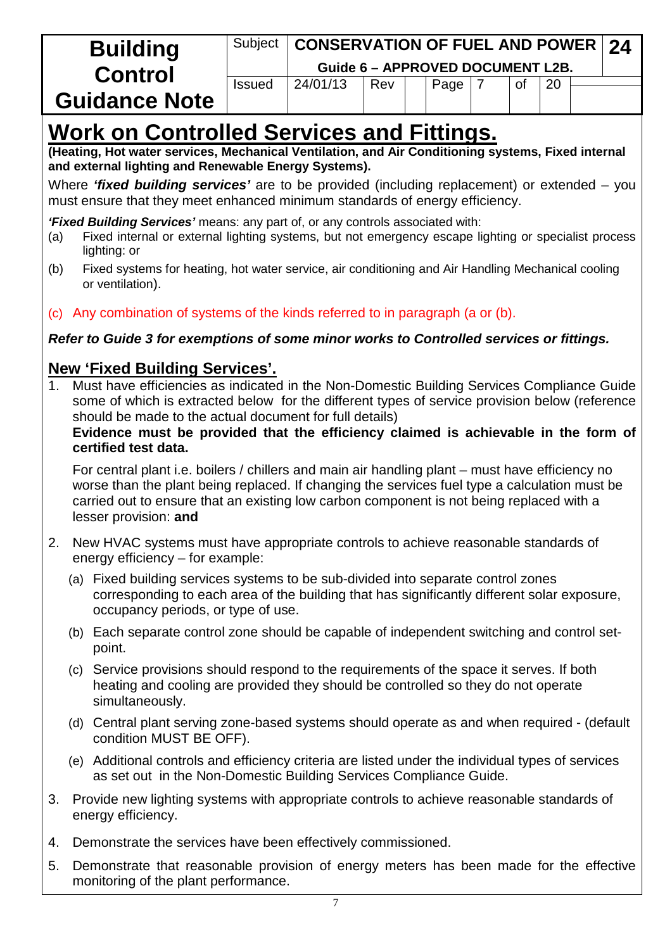| <b>Building</b>      | Subject       | <b>CONSERVATION OF FUEL AND POWER 24</b> |     |                                  |           |    |  |
|----------------------|---------------|------------------------------------------|-----|----------------------------------|-----------|----|--|
| <b>Control</b>       |               |                                          |     | Guide 6 - APPROVED DOCUMENT L2B. |           |    |  |
|                      | <b>Issued</b> | 24/01/13                                 | Rev | Page                             | <b>of</b> | 20 |  |
| <b>Guidance Note</b> |               |                                          |     |                                  |           |    |  |

# **Work on Controlled Services and Fittings.**

**(Heating, Hot water services, Mechanical Ventilation, and Air Conditioning systems, Fixed internal and external lighting and Renewable Energy Systems).**

Where *'fixed building services'* are to be provided (including replacement) or extended – you must ensure that they meet enhanced minimum standards of energy efficiency.

*'Fixed Building Services'* means: any part of, or any controls associated with:

- (a) Fixed internal or external lighting systems, but not emergency escape lighting or specialist process lighting: or
- (b) Fixed systems for heating, hot water service, air conditioning and Air Handling Mechanical cooling or ventilation).
- (c) Any combination of systems of the kinds referred to in paragraph (a or (b).

#### *Refer to Guide 3 for exemptions of some minor works to Controlled services or fittings.*

### **New 'Fixed Building Services'.**

1. Must have efficiencies as indicated in the Non-Domestic Building Services Compliance Guide some of which is extracted below for the different types of service provision below (reference should be made to the actual document for full details)

**Evidence must be provided that the efficiency claimed is achievable in the form of certified test data.**

For central plant i.e. boilers / chillers and main air handling plant – must have efficiency no worse than the plant being replaced. If changing the services fuel type a calculation must be carried out to ensure that an existing low carbon component is not being replaced with a lesser provision: **and**

- 2. New HVAC systems must have appropriate controls to achieve reasonable standards of energy efficiency – for example:
	- (a) Fixed building services systems to be sub-divided into separate control zones corresponding to each area of the building that has significantly different solar exposure, occupancy periods, or type of use.
	- (b) Each separate control zone should be capable of independent switching and control setpoint.
	- (c) Service provisions should respond to the requirements of the space it serves. If both heating and cooling are provided they should be controlled so they do not operate simultaneously.
	- (d) Central plant serving zone-based systems should operate as and when required (default condition MUST BE OFF).
	- (e) Additional controls and efficiency criteria are listed under the individual types of services as set out in the Non-Domestic Building Services Compliance Guide.
- 3. Provide new lighting systems with appropriate controls to achieve reasonable standards of energy efficiency.
- 4. Demonstrate the services have been effectively commissioned.
- 5. Demonstrate that reasonable provision of energy meters has been made for the effective monitoring of the plant performance.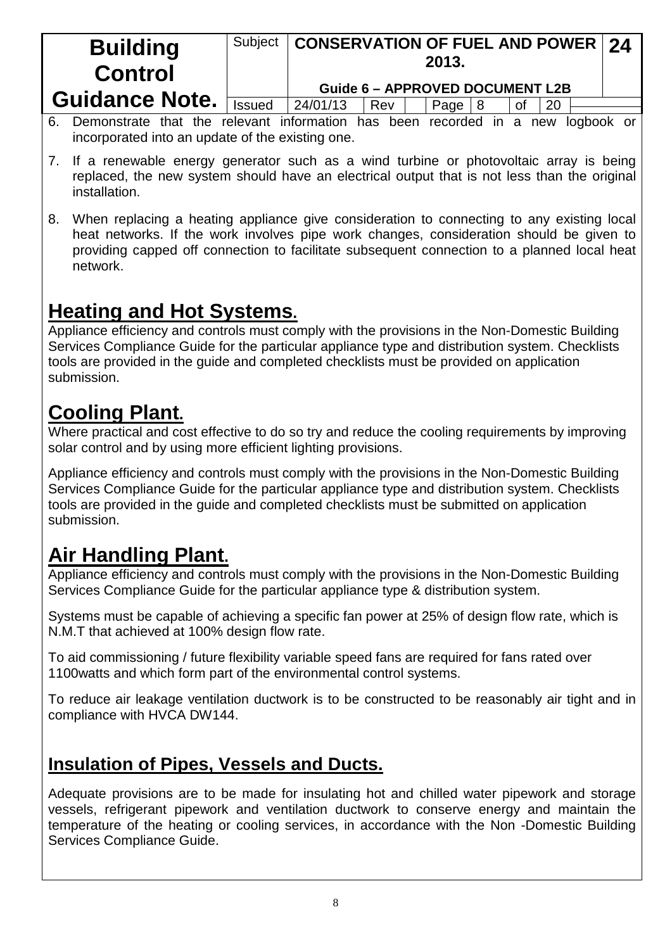| <b>Building</b><br><b>Control</b> | Subject       | <b>CONSERVATION OF FUEL AND POWER 24</b><br>2013.<br><b>Guide 6 - APPROVED DOCUMENT L2B</b> |     |  |           |  |    |           |  |  |
|-----------------------------------|---------------|---------------------------------------------------------------------------------------------|-----|--|-----------|--|----|-----------|--|--|
| <b>Guidance Note.</b>             | <b>Issued</b> | 24/01/13                                                                                    |     |  |           |  |    |           |  |  |
|                                   |               |                                                                                             | Rev |  | Page $ 8$ |  | 0f | <b>20</b> |  |  |

- 6. Demonstrate that the relevant information has been recorded in a new logbook or incorporated into an update of the existing one.
- 7. If a renewable energy generator such as a wind turbine or photovoltaic array is being replaced, the new system should have an electrical output that is not less than the original installation.
- 8. When replacing a heating appliance give consideration to connecting to any existing local heat networks. If the work involves pipe work changes, consideration should be given to providing capped off connection to facilitate subsequent connection to a planned local heat network.

# **Heating and Hot Systems.**

Appliance efficiency and controls must comply with the provisions in the Non-Domestic Building Services Compliance Guide for the particular appliance type and distribution system. Checklists tools are provided in the guide and completed checklists must be provided on application submission.

# **Cooling Plant.**

Where practical and cost effective to do so try and reduce the cooling requirements by improving solar control and by using more efficient lighting provisions.

Appliance efficiency and controls must comply with the provisions in the Non-Domestic Building Services Compliance Guide for the particular appliance type and distribution system. Checklists tools are provided in the guide and completed checklists must be submitted on application submission.

# **Air Handling Plant.**

Appliance efficiency and controls must comply with the provisions in the Non-Domestic Building Services Compliance Guide for the particular appliance type & distribution system.

Systems must be capable of achieving a specific fan power at 25% of design flow rate, which is N.M.T that achieved at 100% design flow rate.

To aid commissioning / future flexibility variable speed fans are required for fans rated over 1100watts and which form part of the environmental control systems.

To reduce air leakage ventilation ductwork is to be constructed to be reasonably air tight and in compliance with HVCA DW144.

# **Insulation of Pipes, Vessels and Ducts.**

Adequate provisions are to be made for insulating hot and chilled water pipework and storage vessels, refrigerant pipework and ventilation ductwork to conserve energy and maintain the temperature of the heating or cooling services, in accordance with the Non -Domestic Building Services Compliance Guide.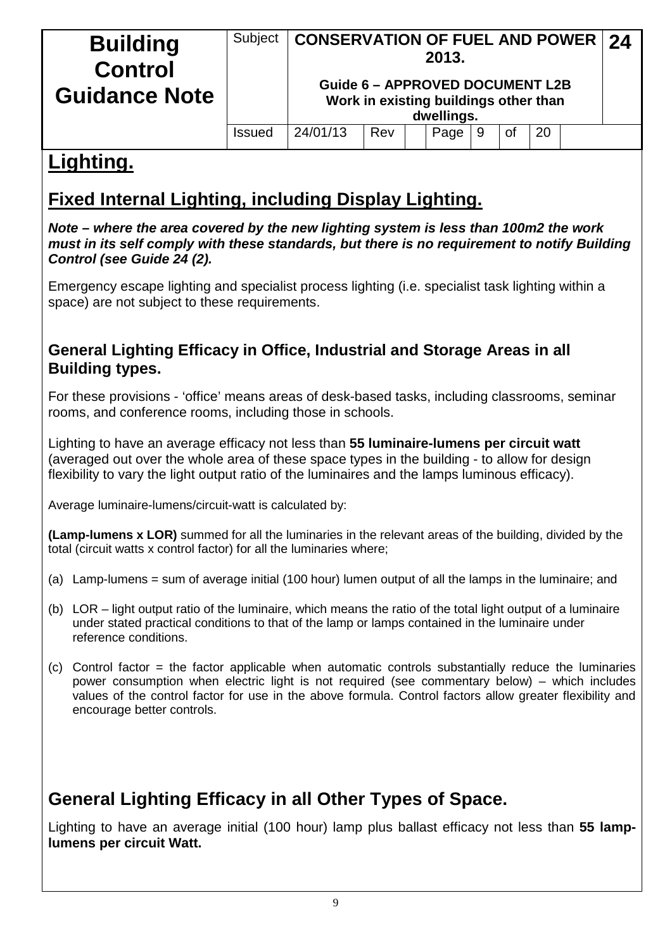| <b>Building</b><br><b>Control</b><br><b>Guidance Note</b> | Subject       | <b>CONSERVATION OF FUEL AND POWER   24</b> | <b>Guide 6 - APPROVED DOCUMENT L2B</b><br>Work in existing buildings other than |  | 2013.<br>dwellings. |  |  |  |  |  |
|-----------------------------------------------------------|---------------|--------------------------------------------|---------------------------------------------------------------------------------|--|---------------------|--|--|--|--|--|
|                                                           | <b>Issued</b> | 24/01/13<br>20<br>Rev<br>Page<br>οf<br>9   |                                                                                 |  |                     |  |  |  |  |  |
|                                                           |               |                                            |                                                                                 |  |                     |  |  |  |  |  |

# **Lighting.**

# **Fixed Internal Lighting, including Display Lighting.**

*Note – where the area covered by the new lighting system is less than 100m2 the work must in its self comply with these standards, but there is no requirement to notify Building Control (see Guide 24 (2).*

Emergency escape lighting and specialist process lighting (i.e. specialist task lighting within a space) are not subject to these requirements.

### **General Lighting Efficacy in Office, Industrial and Storage Areas in all Building types.**

For these provisions - 'office' means areas of desk-based tasks, including classrooms, seminar rooms, and conference rooms, including those in schools.

Lighting to have an average efficacy not less than **55 luminaire-lumens per circuit watt** (averaged out over the whole area of these space types in the building - to allow for design flexibility to vary the light output ratio of the luminaires and the lamps luminous efficacy).

Average luminaire-lumens/circuit-watt is calculated by:

**(Lamp-lumens x LOR)** summed for all the luminaries in the relevant areas of the building, divided by the total (circuit watts x control factor) for all the luminaries where;

- (a) Lamp-lumens = sum of average initial (100 hour) lumen output of all the lamps in the luminaire; and
- (b) LOR light output ratio of the luminaire, which means the ratio of the total light output of a luminaire under stated practical conditions to that of the lamp or lamps contained in the luminaire under reference conditions.
- $(c)$  Control factor = the factor applicable when automatic controls substantially reduce the luminaries power consumption when electric light is not required (see commentary below) – which includes values of the control factor for use in the above formula. Control factors allow greater flexibility and encourage better controls.

# **General Lighting Efficacy in all Other Types of Space.**

Lighting to have an average initial (100 hour) lamp plus ballast efficacy not less than **55 lamplumens per circuit Watt.**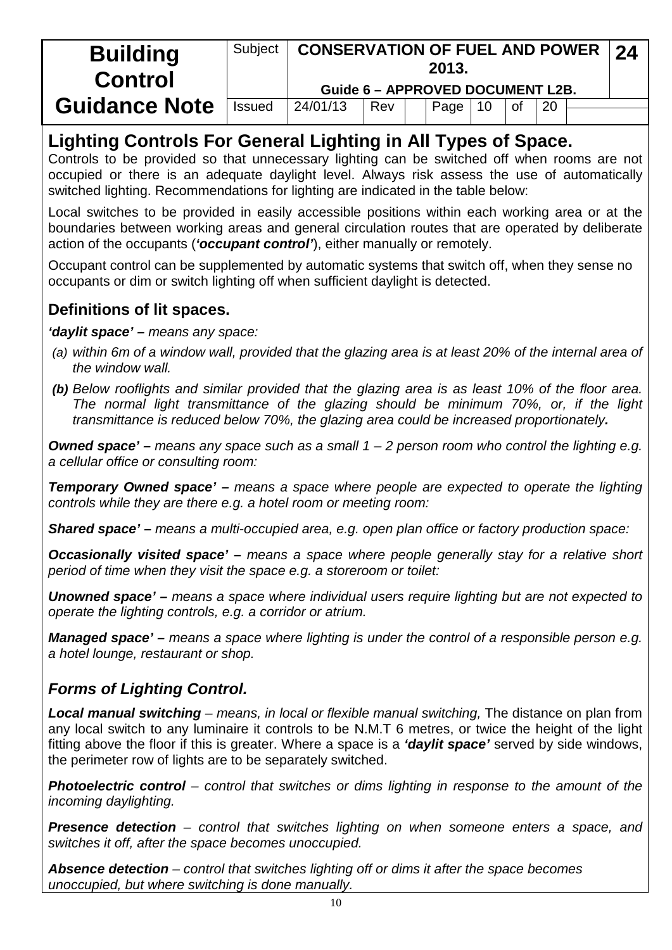| <b>Building</b><br><b>Control</b> | Subject | <b>CONSERVATION OF FUEL AND POWER 24</b><br>2013. |     |  |      |                 |           |           |  |  |  |
|-----------------------------------|---------|---------------------------------------------------|-----|--|------|-----------------|-----------|-----------|--|--|--|
|                                   |         | Guide 6 - APPROVED DOCUMENT L2B.                  |     |  |      |                 |           |           |  |  |  |
| <b>Guidance Note</b>              | Issued  | 24/01/13                                          | Rev |  | Page | $\overline{10}$ | <b>of</b> | <b>20</b> |  |  |  |
|                                   |         |                                                   |     |  |      |                 |           |           |  |  |  |

# **Lighting Controls For General Lighting in All Types of Space.**

Controls to be provided so that unnecessary lighting can be switched off when rooms are not occupied or there is an adequate daylight level. Always risk assess the use of automatically switched lighting. Recommendations for lighting are indicated in the table below:

Local switches to be provided in easily accessible positions within each working area or at the boundaries between working areas and general circulation routes that are operated by deliberate action of the occupants (*'occupant control'*), either manually or remotely.

Occupant control can be supplemented by automatic systems that switch off, when they sense no occupants or dim or switch lighting off when sufficient daylight is detected.

## **Definitions of lit spaces.**

*'daylit space' – means any space:*

- *(a) within 6m of a window wall, provided that the glazing area is at least 20% of the internal area of the window wall.*
- *(b) Below rooflights and similar provided that the glazing area is as least 10% of the floor area. The normal light transmittance of the glazing should be minimum 70%, or, if the light transmittance is reduced below 70%, the glazing area could be increased proportionately.*

*Owned space' – means any space such as a small 1 – 2 person room who control the lighting e.g. a cellular office or consulting room:*

*Temporary Owned space' – means a space where people are expected to operate the lighting controls while they are there e.g. a hotel room or meeting room:*

*Shared space' – means a multi-occupied area, e.g. open plan office or factory production space:*

*Occasionally visited space' – means a space where people generally stay for a relative short period of time when they visit the space e.g. a storeroom or toilet:*

*Unowned space' – means a space where individual users require lighting but are not expected to operate the lighting controls, e.g. a corridor or atrium.*

*Managed space' – means a space where lighting is under the control of a responsible person e.g. a hotel lounge, restaurant or shop.*

### *Forms of Lighting Control.*

*Local manual switching – means, in local or flexible manual switching,* The distance on plan from any local switch to any luminaire it controls to be N.M.T 6 metres, or twice the height of the light fitting above the floor if this is greater. Where a space is a *'daylit space'* served by side windows, the perimeter row of lights are to be separately switched.

*Photoelectric control – control that switches or dims lighting in response to the amount of the incoming daylighting.*

*Presence detection – control that switches lighting on when someone enters a space, and switches it off, after the space becomes unoccupied.*

*Absence detection – control that switches lighting off or dims it after the space becomes unoccupied, but where switching is done manually.*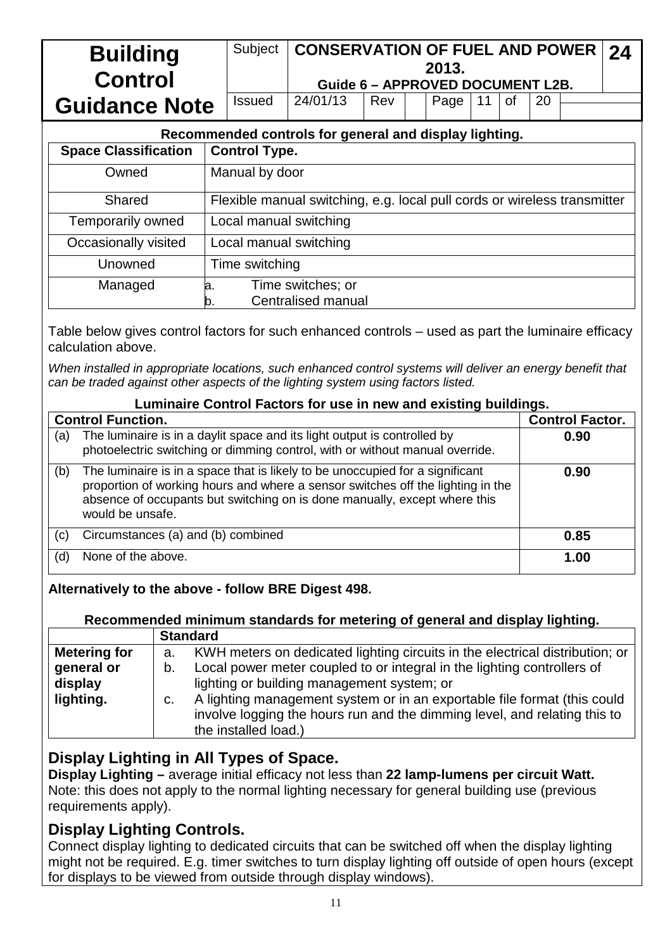| <b>Building</b><br><b>Control</b> | Subject                                                    |                                                                          | <b>CONSERVATION OF FUEL AND POWER</b><br>24<br>2013.<br><b>Guide 6 - APPROVED DOCUMENT L2B.</b> |  |  |  |  |  |  |  |
|-----------------------------------|------------------------------------------------------------|--------------------------------------------------------------------------|-------------------------------------------------------------------------------------------------|--|--|--|--|--|--|--|
| <b>Guidance Note</b>              | <b>Issued</b>                                              | 24/01/13<br>Page<br>of<br>Rev<br>11<br>20                                |                                                                                                 |  |  |  |  |  |  |  |
|                                   |                                                            | Recommended controls for general and display lighting.                   |                                                                                                 |  |  |  |  |  |  |  |
| <b>Space Classification</b>       | <b>Control Type.</b>                                       |                                                                          |                                                                                                 |  |  |  |  |  |  |  |
| Owned                             |                                                            | Manual by door                                                           |                                                                                                 |  |  |  |  |  |  |  |
| Shared                            |                                                            | Flexible manual switching, e.g. local pull cords or wireless transmitter |                                                                                                 |  |  |  |  |  |  |  |
| Temporarily owned                 |                                                            | Local manual switching                                                   |                                                                                                 |  |  |  |  |  |  |  |
| Occasionally visited              |                                                            | Local manual switching                                                   |                                                                                                 |  |  |  |  |  |  |  |
| Unowned                           | Time switching                                             |                                                                          |                                                                                                 |  |  |  |  |  |  |  |
| Managed                           | Time switches; or<br>a.<br><b>Centralised manual</b><br>b. |                                                                          |                                                                                                 |  |  |  |  |  |  |  |

Table below gives control factors for such enhanced controls – used as part the luminaire efficacy calculation above.

*When installed in appropriate locations, such enhanced control systems will deliver an energy benefit that can be traded against other aspects of the lighting system using factors listed.*

### **Luminaire Control Factors for use in new and existing buildings.**

|     | <b>Control Function.</b>                                                                                                                                                                                                                                          | <b>Control Factor.</b> |
|-----|-------------------------------------------------------------------------------------------------------------------------------------------------------------------------------------------------------------------------------------------------------------------|------------------------|
| (a) | The luminaire is in a daylit space and its light output is controlled by<br>photoelectric switching or dimming control, with or without manual override.                                                                                                          | 0.90                   |
| (b) | The luminaire is in a space that is likely to be unoccupied for a significant<br>proportion of working hours and where a sensor switches off the lighting in the<br>absence of occupants but switching on is done manually, except where this<br>would be unsafe. | 0.90                   |
| (c) | Circumstances (a) and (b) combined                                                                                                                                                                                                                                | 0.85                   |
| (d) | None of the above.                                                                                                                                                                                                                                                | 1.00                   |

#### **Alternatively to the above - follow BRE Digest 498.**

|                     | Recommended minimum standards for metering of general and display lighting.        |
|---------------------|------------------------------------------------------------------------------------|
|                     | <b>Standard</b>                                                                    |
| <b>Metering for</b> | KWH meters on dedicated lighting circuits in the electrical distribution; or<br>а. |
| general or          | Local power meter coupled to or integral in the lighting controllers of<br>b.      |
| display             | lighting or building management system; or                                         |
| lighting.           | A lighting management system or in an exportable file format (this could<br>C.     |
|                     | involve logging the hours run and the dimming level, and relating this to          |
|                     | the installed load.)                                                               |

#### **Display Lighting in All Types of Space.**

**Display Lighting –** average initial efficacy not less than **22 lamp-lumens per circuit Watt.** Note: this does not apply to the normal lighting necessary for general building use (previous requirements apply).

#### **Display Lighting Controls.**

Connect display lighting to dedicated circuits that can be switched off when the display lighting might not be required. E.g. timer switches to turn display lighting off outside of open hours (except for displays to be viewed from outside through display windows).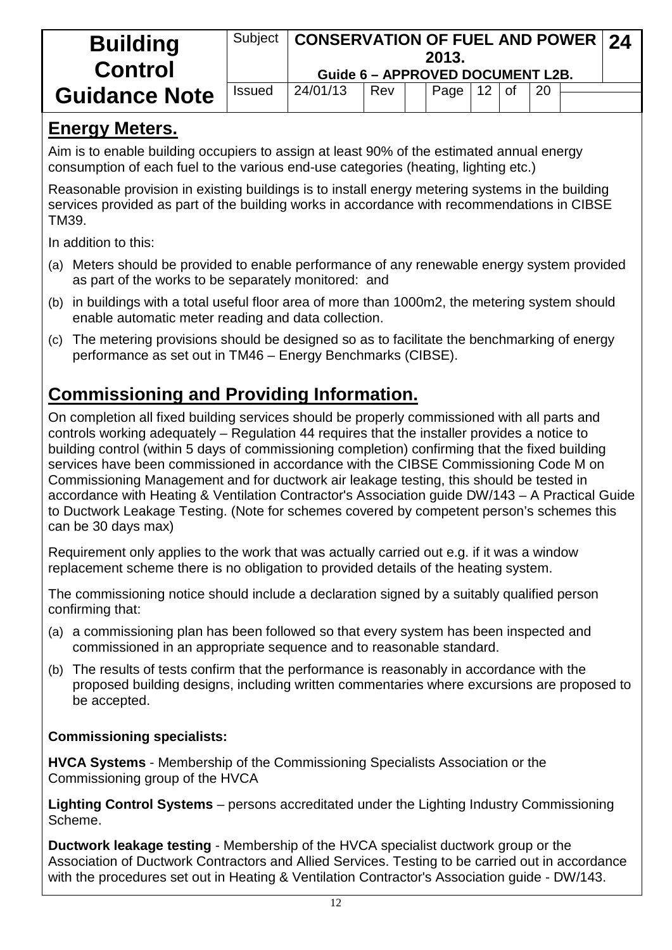| <b>Building</b><br><b>Control</b> | Subject       | <b>CONSERVATION OF FUEL AND POWER 24</b><br>Guide 6 - APPROVED DOCUMENT L2B. |  |  | 2013. |  |  |  |  |  |  |
|-----------------------------------|---------------|------------------------------------------------------------------------------|--|--|-------|--|--|--|--|--|--|
| <b>Guidance Note</b>              | <b>Issued</b> | $ $ of<br>24/01/13<br>20<br>Page  <br>$12 \overline{ }$<br>Rev               |  |  |       |  |  |  |  |  |  |

# **Energy Meters.**

Aim is to enable building occupiers to assign at least 90% of the estimated annual energy consumption of each fuel to the various end-use categories (heating, lighting etc.)

Reasonable provision in existing buildings is to install energy metering systems in the building services provided as part of the building works in accordance with recommendations in CIBSE TM39.

In addition to this:

- (a) Meters should be provided to enable performance of any renewable energy system provided as part of the works to be separately monitored: and
- (b) in buildings with a total useful floor area of more than 1000m2, the metering system should enable automatic meter reading and data collection.
- (c) The metering provisions should be designed so as to facilitate the benchmarking of energy performance as set out in TM46 – Energy Benchmarks (CIBSE).

# **Commissioning and Providing Information.**

On completion all fixed building services should be properly commissioned with all parts and controls working adequately – Regulation 44 requires that the installer provides a notice to building control (within 5 days of commissioning completion) confirming that the fixed building services have been commissioned in accordance with the CIBSE Commissioning Code M on Commissioning Management and for ductwork air leakage testing, this should be tested in accordance with Heating & Ventilation Contractor's Association guide DW/143 – A Practical Guide to Ductwork Leakage Testing. (Note for schemes covered by competent person's schemes this can be 30 days max)

Requirement only applies to the work that was actually carried out e.g. if it was a window replacement scheme there is no obligation to provided details of the heating system.

The commissioning notice should include a declaration signed by a suitably qualified person confirming that:

- (a) a commissioning plan has been followed so that every system has been inspected and commissioned in an appropriate sequence and to reasonable standard.
- (b) The results of tests confirm that the performance is reasonably in accordance with the proposed building designs, including written commentaries where excursions are proposed to be accepted.

### **Commissioning specialists:**

**HVCA Systems** - Membership of the Commissioning Specialists Association or the Commissioning group of the HVCA

**Lighting Control Systems** – persons accreditated under the Lighting Industry Commissioning Scheme.

**Ductwork leakage testing** - Membership of the HVCA specialist ductwork group or the Association of Ductwork Contractors and Allied Services. Testing to be carried out in accordance with the procedures set out in Heating & Ventilation Contractor's Association guide - DW/143.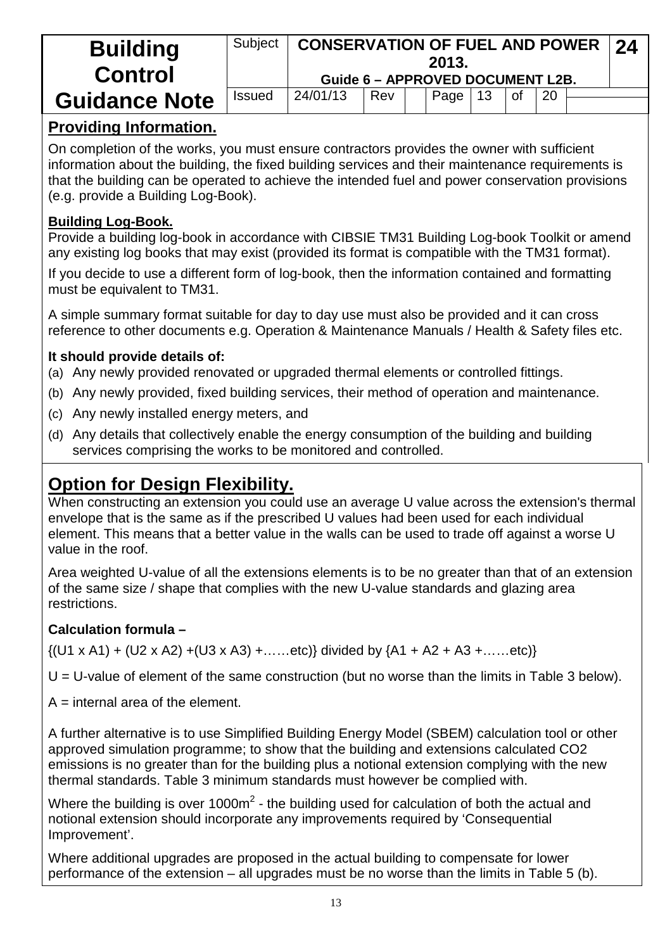| <b>Building</b><br><b>Control</b> | Subject       | <b>CONSERVATION OF FUEL AND POWER</b><br><b>Guide 6 - APPROVED DOCUMENT L2B.</b> |  |  | 2013. |  |  |  |  | 24 |
|-----------------------------------|---------------|----------------------------------------------------------------------------------|--|--|-------|--|--|--|--|----|
| <b>Guidance Note</b>              | <b>Issued</b> | 24/01/13<br>$\overline{20}$<br>0f<br>13<br>Rev<br>Page                           |  |  |       |  |  |  |  |    |

# **Providing Information.**

On completion of the works, you must ensure contractors provides the owner with sufficient information about the building, the fixed building services and their maintenance requirements is that the building can be operated to achieve the intended fuel and power conservation provisions (e.g. provide a Building Log-Book).

#### **Building Log-Book.**

Provide a building log-book in accordance with CIBSIE TM31 Building Log-book Toolkit or amend any existing log books that may exist (provided its format is compatible with the TM31 format).

If you decide to use a different form of log-book, then the information contained and formatting must be equivalent to TM31.

A simple summary format suitable for day to day use must also be provided and it can cross reference to other documents e.g. Operation & Maintenance Manuals / Health & Safety files etc.

#### **It should provide details of:**

- (a) Any newly provided renovated or upgraded thermal elements or controlled fittings.
- (b) Any newly provided, fixed building services, their method of operation and maintenance.
- (c) Any newly installed energy meters, and
- (d) Any details that collectively enable the energy consumption of the building and building services comprising the works to be monitored and controlled.

# **Option for Design Flexibility.**

When constructing an extension you could use an average U value across the extension's thermal envelope that is the same as if the prescribed U values had been used for each individual element. This means that a better value in the walls can be used to trade off against a worse U value in the roof.

Area weighted U-value of all the extensions elements is to be no greater than that of an extension of the same size / shape that complies with the new U-value standards and glazing area restrictions.

### **Calculation formula –**

 $\{(U1 \times A1) + (U2 \times A2) + (U3 \times A3) + \dots \text{etc.}\}$  divided by  $\{A1 + A2 + A3 + \dots \text{etc.}\}$ 

 $U = U$ -value of element of the same construction (but no worse than the limits in Table 3 below).

 $A =$  internal area of the element.

A further alternative is to use Simplified Building Energy Model (SBEM) calculation tool or other approved simulation programme; to show that the building and extensions calculated CO2 emissions is no greater than for the building plus a notional extension complying with the new thermal standards. Table 3 minimum standards must however be complied with.

Where the building is over 1000 $m^2$  - the building used for calculation of both the actual and notional extension should incorporate any improvements required by 'Consequential Improvement'.

Where additional upgrades are proposed in the actual building to compensate for lower performance of the extension – all upgrades must be no worse than the limits in Table 5 (b).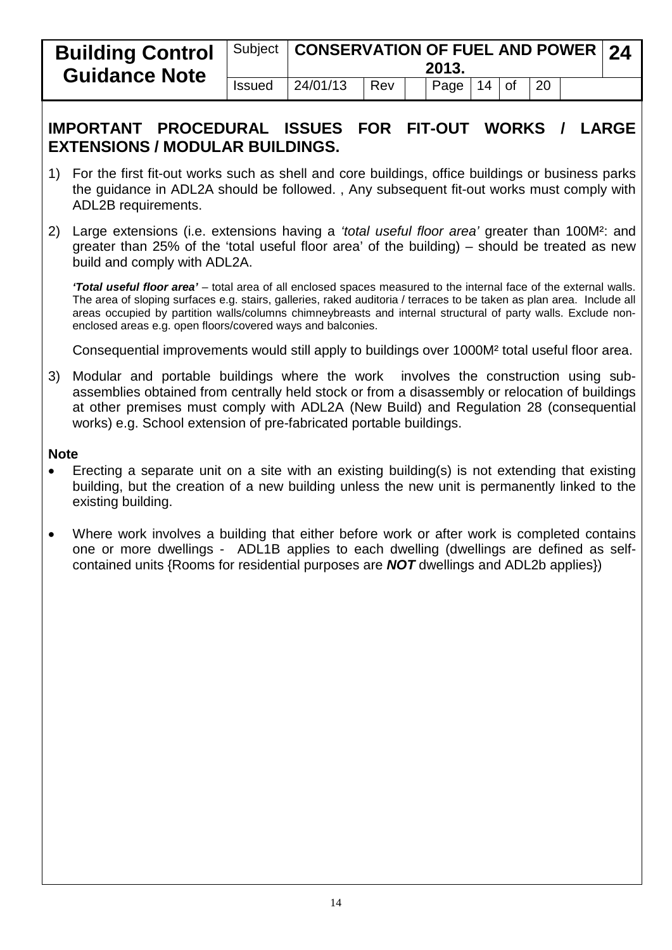| <b>Building Control</b><br><b>Guidance Note</b> |               | Subject   CONSERVATION OF FUEL AND POWER   24 |     | 2013.        |  |            |  |
|-------------------------------------------------|---------------|-----------------------------------------------|-----|--------------|--|------------|--|
|                                                 | <b>Issued</b> | 24/01/13                                      | Rev | Page $14$ of |  | $\vert$ 20 |  |

### **IMPORTANT PROCEDURAL ISSUES FOR FIT-OUT WORKS / LARGE EXTENSIONS / MODULAR BUILDINGS.**

- 1) For the first fit-out works such as shell and core buildings, office buildings or business parks the guidance in ADL2A should be followed. , Any subsequent fit-out works must comply with ADL2B requirements.
- 2) Large extensions (i.e. extensions having a *'total useful floor area'* greater than 100M²: and greater than 25% of the 'total useful floor area' of the building) – should be treated as new build and comply with ADL2A.

*'Total useful floor area'* – total area of all enclosed spaces measured to the internal face of the external walls. The area of sloping surfaces e.g. stairs, galleries, raked auditoria / terraces to be taken as plan area. Include all areas occupied by partition walls/columns chimneybreasts and internal structural of party walls. Exclude nonenclosed areas e.g. open floors/covered ways and balconies.

Consequential improvements would still apply to buildings over 1000M² total useful floor area.

3) Modular and portable buildings where the work involves the construction using subassemblies obtained from centrally held stock or from a disassembly or relocation of buildings at other premises must comply with ADL2A (New Build) and Regulation 28 (consequential works) e.g. School extension of pre-fabricated portable buildings.

#### **Note**

- Erecting a separate unit on a site with an existing building(s) is not extending that existing building, but the creation of a new building unless the new unit is permanently linked to the existing building.
- Where work involves a building that either before work or after work is completed contains one or more dwellings - ADL1B applies to each dwelling (dwellings are defined as selfcontained units {Rooms for residential purposes are *NOT* dwellings and ADL2b applies})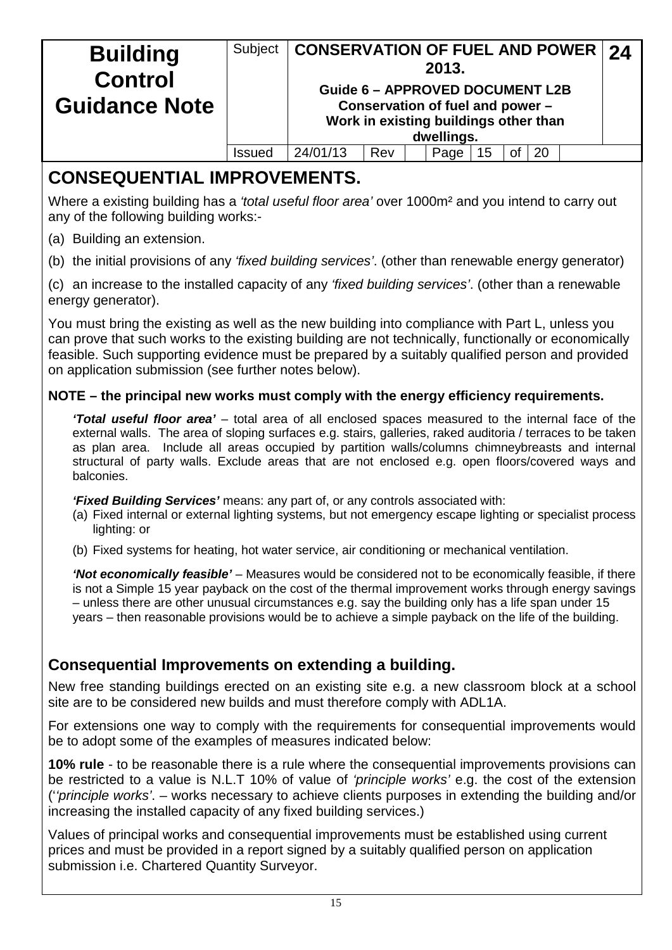| <b>Building</b><br><b>Control</b> | Subject | <b>CONSERVATION OF FUEL AND POWER 24</b> |                                                                           | 2013.      |    |    |  |
|-----------------------------------|---------|------------------------------------------|---------------------------------------------------------------------------|------------|----|----|--|
| <b>Guidance Note</b>              |         | <b>Guide 6 - APPROVED DOCUMENT L2B</b>   | Conservation of fuel and power -<br>Work in existing buildings other than | dwellings. |    |    |  |
|                                   | Issued  | 24/01/13                                 | Rev                                                                       | Page       | Οt | 20 |  |

# **CONSEQUENTIAL IMPROVEMENTS.**

Where a existing building has a *'total useful floor area'* over 1000m² and you intend to carry out any of the following building works:-

- (a) Building an extension.
- (b) the initial provisions of any *'fixed building services'*. (other than renewable energy generator)

(c) an increase to the installed capacity of any *'fixed building services'*. (other than a renewable energy generator).

You must bring the existing as well as the new building into compliance with Part L, unless you can prove that such works to the existing building are not technically, functionally or economically feasible. Such supporting evidence must be prepared by a suitably qualified person and provided on application submission (see further notes below).

#### **NOTE – the principal new works must comply with the energy efficiency requirements.**

*'Total useful floor area'* – total area of all enclosed spaces measured to the internal face of the external walls. The area of sloping surfaces e.g. stairs, galleries, raked auditoria / terraces to be taken as plan area. Include all areas occupied by partition walls/columns chimneybreasts and internal structural of party walls. Exclude areas that are not enclosed e.g. open floors/covered ways and balconies.

*'Fixed Building Services'* means: any part of, or any controls associated with:

- (a) Fixed internal or external lighting systems, but not emergency escape lighting or specialist process lighting: or
- (b) Fixed systems for heating, hot water service, air conditioning or mechanical ventilation.

*'Not economically feasible'* – Measures would be considered not to be economically feasible, if there is not a Simple 15 year payback on the cost of the thermal improvement works through energy savings – unless there are other unusual circumstances e.g. say the building only has a life span under 15 years – then reasonable provisions would be to achieve a simple payback on the life of the building.

### **Consequential Improvements on extending a building.**

New free standing buildings erected on an existing site e.g. a new classroom block at a school site are to be considered new builds and must therefore comply with ADL1A.

For extensions one way to comply with the requirements for consequential improvements would be to adopt some of the examples of measures indicated below:

**10% rule** - to be reasonable there is a rule where the consequential improvements provisions can be restricted to a value is N.L.T 10% of value of *'principle works'* e.g. the cost of the extension ('*'principle works'*. – works necessary to achieve clients purposes in extending the building and/or increasing the installed capacity of any fixed building services.)

Values of principal works and consequential improvements must be established using current prices and must be provided in a report signed by a suitably qualified person on application submission i.e. Chartered Quantity Surveyor.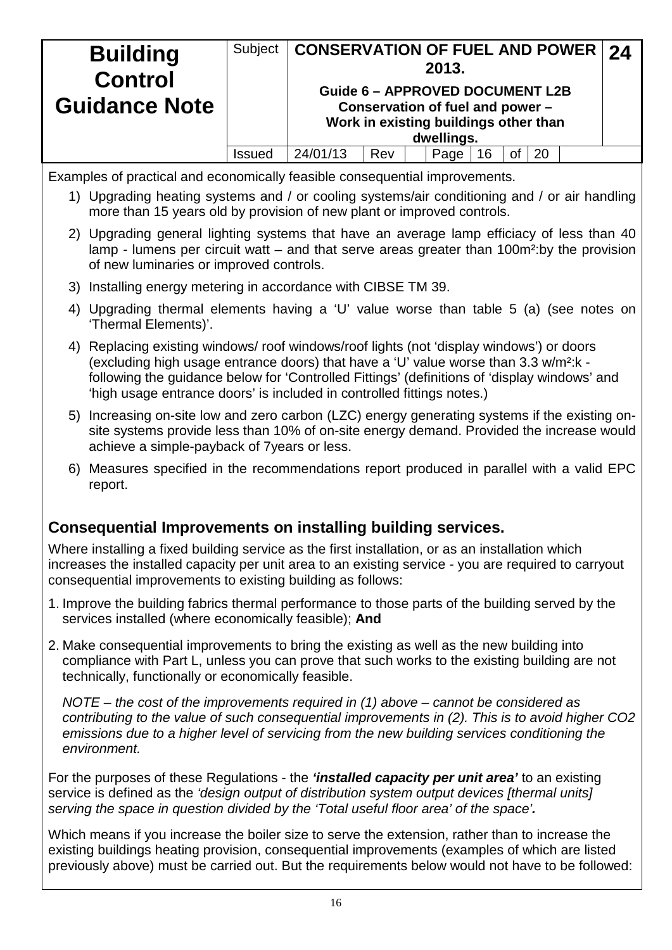| <b>Building</b><br><b>Control</b> | Subject              | <b>CONSERVATION OF FUEL AND POWER 24</b>                                                                            |     |  | 2013. |    |  |    |  |  |  |
|-----------------------------------|----------------------|---------------------------------------------------------------------------------------------------------------------|-----|--|-------|----|--|----|--|--|--|
| <b>Guidance Note</b>              |                      | <b>Guide 6 - APPROVED DOCUMENT L2B</b><br>Conservation of fuel and power -<br>Work in existing buildings other than |     |  |       |    |  |    |  |  |  |
|                                   |                      | dwellings.                                                                                                          |     |  |       |    |  |    |  |  |  |
|                                   | <i><b>ISSUED</b></i> | 24/01/13                                                                                                            | Rev |  | Page  | 16 |  | 20 |  |  |  |

Examples of practical and economically feasible consequential improvements.

- 1) Upgrading heating systems and / or cooling systems/air conditioning and / or air handling more than 15 years old by provision of new plant or improved controls.
- 2) Upgrading general lighting systems that have an average lamp efficiacy of less than 40 lamp - lumens per circuit watt – and that serve areas greater than 100m<sup>2</sup>: by the provision of new luminaries or improved controls.
- 3) Installing energy metering in accordance with CIBSE TM 39.
- 4) Upgrading thermal elements having a 'U' value worse than table 5 (a) (see notes on 'Thermal Elements)'.
- 4) Replacing existing windows/ roof windows/roof lights (not 'display windows') or doors (excluding high usage entrance doors) that have a 'U' value worse than 3.3 w/m²:k following the guidance below for 'Controlled Fittings' (definitions of 'display windows' and 'high usage entrance doors' is included in controlled fittings notes.)
- 5) Increasing on-site low and zero carbon (LZC) energy generating systems if the existing onsite systems provide less than 10% of on-site energy demand. Provided the increase would achieve a simple-payback of 7years or less.
- 6) Measures specified in the recommendations report produced in parallel with a valid EPC report.

## **Consequential Improvements on installing building services.**

Where installing a fixed building service as the first installation, or as an installation which increases the installed capacity per unit area to an existing service *-* you are required to carryout consequential improvements to existing building as follows:

- 1. Improve the building fabrics thermal performance to those parts of the building served by the services installed (where economically feasible); **And**
- 2. Make consequential improvements to bring the existing as well as the new building into compliance with Part L, unless you can prove that such works to the existing building are not technically, functionally or economically feasible.

*NOTE – the cost of the improvements required in (1) above – cannot be considered as contributing to the value of such consequential improvements in (2). This is to avoid higher CO2 emissions due to a higher level of servicing from the new building services conditioning the environment.*

For the purposes of these Regulations - the *'installed capacity per unit area'* to an existing service is defined as the *'design output of distribution system output devices [thermal units] serving the space in question divided by the 'Total useful floor area' of the space'.* 

Which means if you increase the boiler size to serve the extension, rather than to increase the existing buildings heating provision, consequential improvements (examples of which are listed previously above) must be carried out. But the requirements below would not have to be followed: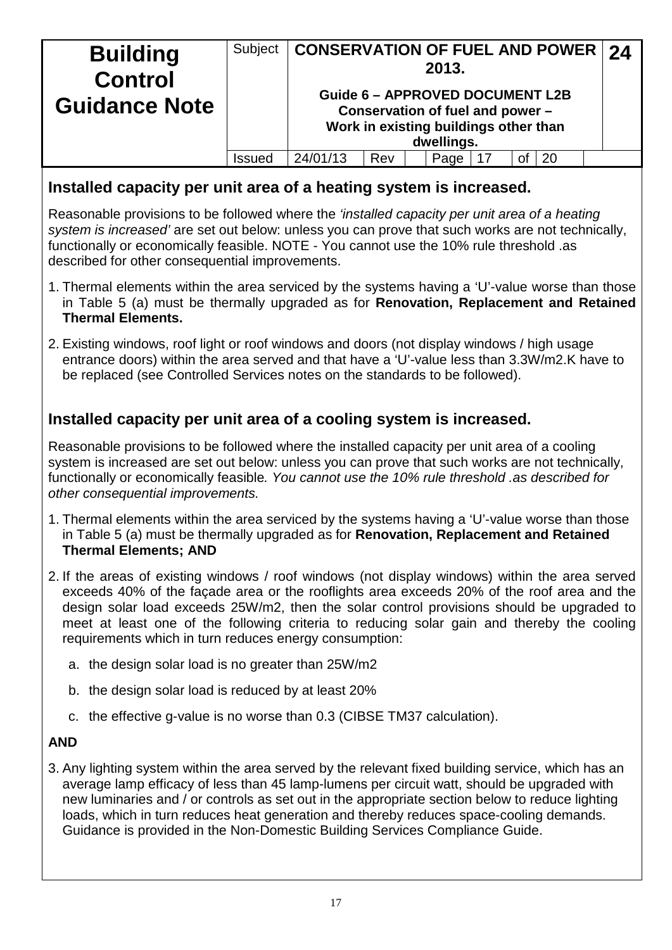| <b>Building</b><br><b>Control</b> | Subject                  | CONSERVATION OF FUEL AND POWER   24                                                                                               |     |  | 2013. |  |    |    |  |  |
|-----------------------------------|--------------------------|-----------------------------------------------------------------------------------------------------------------------------------|-----|--|-------|--|----|----|--|--|
| <b>Guidance Note</b>              |                          | <b>Guide 6 - APPROVED DOCUMENT L2B</b><br>Conservation of fuel and power -<br>Work in existing buildings other than<br>dwellings. |     |  |       |  |    |    |  |  |
|                                   |                          |                                                                                                                                   |     |  |       |  |    |    |  |  |
|                                   | <b>ISSUE</b> <sup></sup> | 24/01/13                                                                                                                          | Rev |  | Page  |  | οf | 20 |  |  |

#### **Installed capacity per unit area of a heating system is increased.**

Reasonable provisions to be followed where the *'installed capacity per unit area of a heating system is increased'* are set out below: unless you can prove that such works are not technically, functionally or economically feasible. NOTE - You cannot use the 10% rule threshold .as described for other consequential improvements.

- 1. Thermal elements within the area serviced by the systems having a 'U'-value worse than those in Table 5 (a) must be thermally upgraded as for **Renovation, Replacement and Retained Thermal Elements.**
- 2. Existing windows, roof light or roof windows and doors (not display windows / high usage entrance doors) within the area served and that have a 'U'-value less than 3.3W/m2.K have to be replaced (see Controlled Services notes on the standards to be followed).

### **Installed capacity per unit area of a cooling system is increased.**

Reasonable provisions to be followed where the installed capacity per unit area of a cooling system is increased are set out below: unless you can prove that such works are not technically, functionally or economically feasible*. You cannot use the 10% rule threshold .as described for other consequential improvements.*

- 1. Thermal elements within the area serviced by the systems having a 'U'-value worse than those in Table 5 (a) must be thermally upgraded as for **Renovation, Replacement and Retained Thermal Elements; AND**
- 2. If the areas of existing windows / roof windows (not display windows) within the area served exceeds 40% of the façade area or the rooflights area exceeds 20% of the roof area and the design solar load exceeds 25W/m2, then the solar control provisions should be upgraded to meet at least one of the following criteria to reducing solar gain and thereby the cooling requirements which in turn reduces energy consumption:
	- a. the design solar load is no greater than 25W/m2
	- b. the design solar load is reduced by at least 20%
	- c. the effective g-value is no worse than 0.3 (CIBSE TM37 calculation).

#### **AND**

3. Any lighting system within the area served by the relevant fixed building service, which has an average lamp efficacy of less than 45 lamp-lumens per circuit watt, should be upgraded with new luminaries and / or controls as set out in the appropriate section below to reduce lighting loads, which in turn reduces heat generation and thereby reduces space-cooling demands. Guidance is provided in the Non-Domestic Building Services Compliance Guide.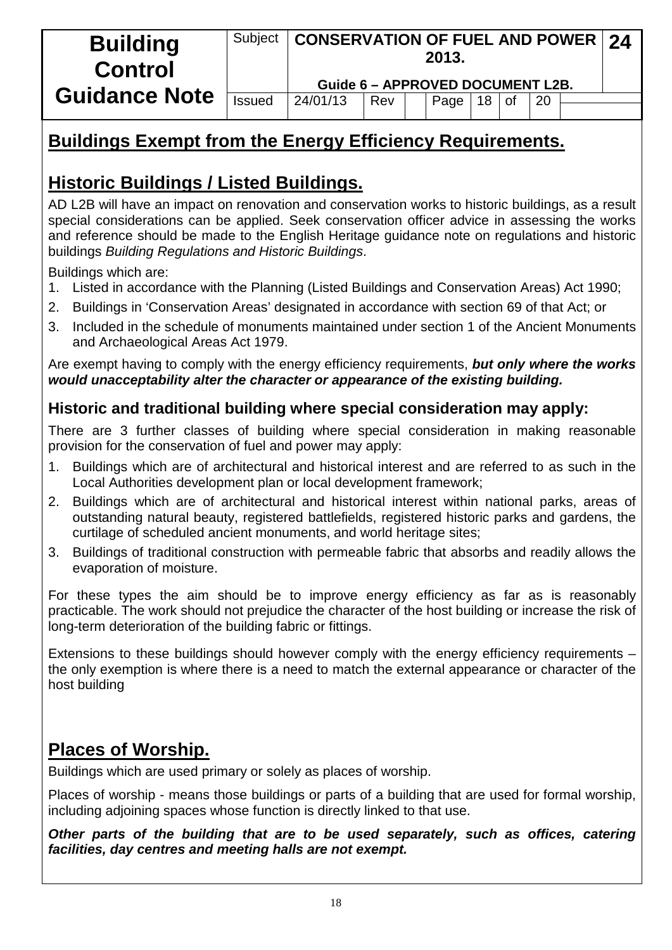| <b>Building</b><br><b>Control</b> | Subject | <b>CONSERVATION OF FUEL AND POWER 24</b><br>Guide 6 - APPROVED DOCUMENT L2B. |     | 2013. |    |           |    |  |
|-----------------------------------|---------|------------------------------------------------------------------------------|-----|-------|----|-----------|----|--|
| <b>Guidance Note</b>              | Issued  | 24/01/13                                                                     | Rev | Page  | 18 | <b>of</b> | 20 |  |

# **Buildings Exempt from the Energy Efficiency Requirements.**

# **Historic Buildings / Listed Buildings.**

AD L2B will have an impact on renovation and conservation works to historic buildings, as a result special considerations can be applied. Seek conservation officer advice in assessing the works and reference should be made to the English Heritage guidance note on regulations and historic buildings *Building Regulations and Historic Buildings*.

Buildings which are:

- 1. Listed in accordance with the Planning (Listed Buildings and Conservation Areas) Act 1990;
- 2. Buildings in 'Conservation Areas' designated in accordance with section 69 of that Act; or
- 3. Included in the schedule of monuments maintained under section 1 of the Ancient Monuments and Archaeological Areas Act 1979.

Are exempt having to comply with the energy efficiency requirements, *but only where the works would unacceptability alter the character or appearance of the existing building.*

## **Historic and traditional building where special consideration may apply:**

There are 3 further classes of building where special consideration in making reasonable provision for the conservation of fuel and power may apply:

- 1. Buildings which are of architectural and historical interest and are referred to as such in the Local Authorities development plan or local development framework;
- 2. Buildings which are of architectural and historical interest within national parks, areas of outstanding natural beauty, registered battlefields, registered historic parks and gardens, the curtilage of scheduled ancient monuments, and world heritage sites;
- 3. Buildings of traditional construction with permeable fabric that absorbs and readily allows the evaporation of moisture.

For these types the aim should be to improve energy efficiency as far as is reasonably practicable. The work should not prejudice the character of the host building or increase the risk of long-term deterioration of the building fabric or fittings.

Extensions to these buildings should however comply with the energy efficiency requirements – the only exemption is where there is a need to match the external appearance or character of the host building

# **Places of Worship.**

Buildings which are used primary or solely as places of worship.

Places of worship - means those buildings or parts of a building that are used for formal worship, including adjoining spaces whose function is directly linked to that use.

*Other parts of the building that are to be used separately, such as offices, catering facilities, day centres and meeting halls are not exempt.*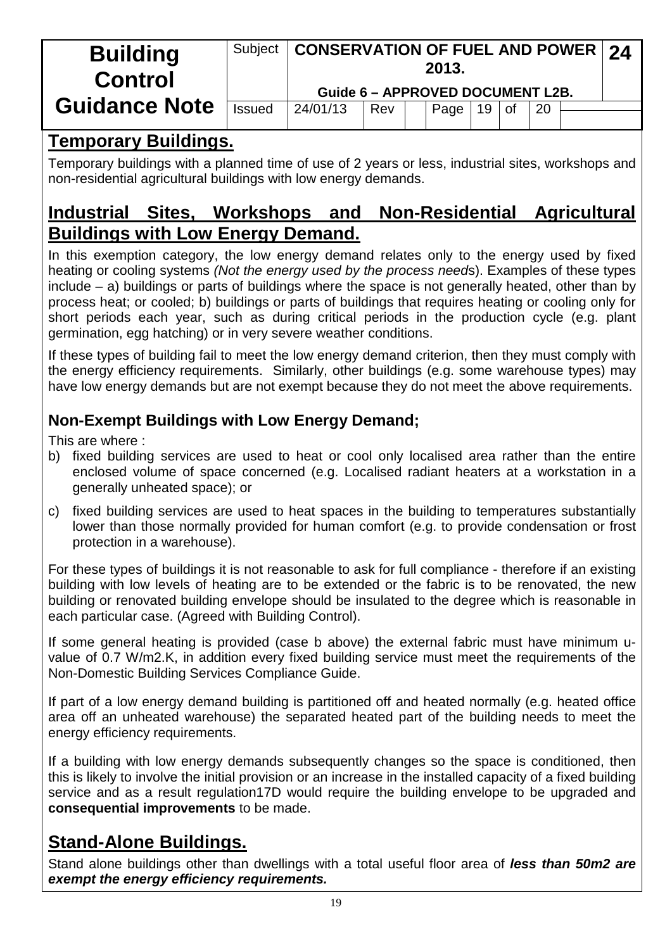| <b>Building</b><br><b>Control</b> | Subject       |                                  | <b>CONSERVATION OF FUEL AND POWER 24</b><br>2013. |  |      |    |        |    |  |  |
|-----------------------------------|---------------|----------------------------------|---------------------------------------------------|--|------|----|--------|----|--|--|
|                                   |               | Guide 6 - APPROVED DOCUMENT L2B. |                                                   |  |      |    |        |    |  |  |
| <b>Guidance Note</b>              | <b>Issued</b> | 24/01/13                         | Rev                                               |  | Page | 19 | $ $ of | 20 |  |  |
|                                   |               |                                  |                                                   |  |      |    |        |    |  |  |
|                                   |               |                                  |                                                   |  |      |    |        |    |  |  |

## **Temporary Buildings.**

Temporary buildings with a planned time of use of 2 years or less, industrial sites, workshops and non-residential agricultural buildings with low energy demands.

# **Industrial Sites, Workshops and Non-Residential Agricultural Buildings with Low Energy Demand.**

In this exemption category, the low energy demand relates only to the energy used by fixed heating or cooling systems *(Not the energy used by the process need*s). Examples of these types include – a) buildings or parts of buildings where the space is not generally heated, other than by process heat; or cooled; b) buildings or parts of buildings that requires heating or cooling only for short periods each year, such as during critical periods in the production cycle (e.g. plant germination, egg hatching) or in very severe weather conditions.

If these types of building fail to meet the low energy demand criterion, then they must comply with the energy efficiency requirements. Similarly, other buildings (e.g. some warehouse types) may have low energy demands but are not exempt because they do not meet the above requirements.

# **Non-Exempt Buildings with Low Energy Demand;**

This are where :

- b) fixed building services are used to heat or cool only localised area rather than the entire enclosed volume of space concerned (e.g. Localised radiant heaters at a workstation in a generally unheated space); or
- c) fixed building services are used to heat spaces in the building to temperatures substantially lower than those normally provided for human comfort (e.g. to provide condensation or frost protection in a warehouse).

For these types of buildings it is not reasonable to ask for full compliance - therefore if an existing building with low levels of heating are to be extended or the fabric is to be renovated, the new building or renovated building envelope should be insulated to the degree which is reasonable in each particular case. (Agreed with Building Control).

If some general heating is provided (case b above) the external fabric must have minimum uvalue of 0.7 W/m2.K, in addition every fixed building service must meet the requirements of the Non-Domestic Building Services Compliance Guide.

If part of a low energy demand building is partitioned off and heated normally (e.g. heated office area off an unheated warehouse) the separated heated part of the building needs to meet the energy efficiency requirements.

If a building with low energy demands subsequently changes so the space is conditioned, then this is likely to involve the initial provision or an increase in the installed capacity of a fixed building service and as a result regulation17D would require the building envelope to be upgraded and **consequential improvements** to be made.

# **Stand-Alone Buildings.**

Stand alone buildings other than dwellings with a total useful floor area of *less than 50m2 are exempt the energy efficiency requirements.*